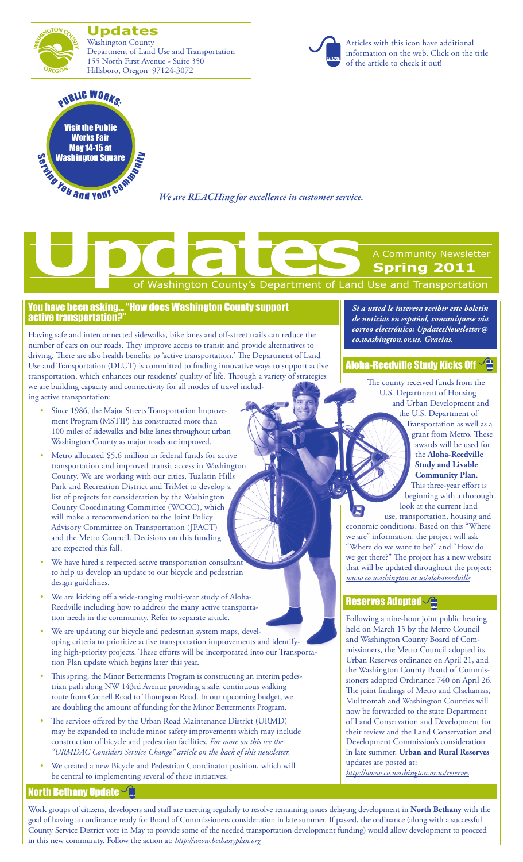GTON CO **Updates** Washington County Department of Land Use and Transportation 155 North First Avenue - Suite 350 Hillsboro, Oregon 97124-3072



Visit the Public Works Fair May 14-15 at [Washington Square](http://www.co.washington.or.us/LUT/News/npww-2011.cfm) **PUBLIC WORKS** 

*We are REACHing for excellence in customer service.*

# of Washington County's Department of Land Use and Transportation A Community Newsletter **Spring 2011 Updates**<br>
The Contract of Washington County's Department of Land

### You have been asking... "How does Washington County support active transportation?"

Having safe and interconnected sidewalks, bike lanes and off-street trails can reduce the number of cars on our roads. They improve access to transit and provide alternatives to driving. There are also health benefits to 'active transportation.' The Department of Land Use and Transportation (DLUT) is committed to finding innovative ways to support active transportation, which enhances our residents' quality of life. Through a variety of strategies we are building capacity and connectivity for all modes of travel including active transportation:

- Since 1986, the Major Streets Transportation Improvement Program (MSTIP) has constructed more than 100 miles of sidewalks and bike lanes throughout urban Washington County as major roads are improved.
- Metro allocated \$5.6 million in federal funds for active transportation and improved transit access in Washington County. We are working with our cities, Tualatin Hills Park and Recreation District and TriMet to develop a list of projects for consideration by the Washington County Coordinating Committee (WCCC), which will make a recommendation to the Joint Policy Advisory Committee on Transportation (JPACT) and the Metro Council. Decisions on this funding are expected this fall.
- We have hired a respected active transportation consultant to help us develop an update to our bicycle and pedestrian design guidelines.
- We are kicking off a wide-ranging multi-year study of Aloha-Reedville including how to address the many active transportation needs in the community. Refer to separate article.
- We are updating our bicycle and pedestrian system maps, developing criteria to prioritize active transportation improvements and identifying high-priority projects. These efforts will be incorporated into our Transportation Plan update which begins later this year.
- This spring, the Minor Betterments Program is constructing an interim pedestrian path along NW 143rd Avenue providing a safe, continuous walking route from Cornell Road to Thompson Road. In our upcoming budget, we are doubling the amount of funding for the Minor Betterments Program.
- The services offered by the Urban Road Maintenance District (URMD) may be expanded to include minor safety improvements which may include construction of bicycle and pedestrian facilities. *For more on this see the "URMDAC Considers Service Change" article on the back of this newsletter.*
- We created a new Bicycle and Pedestrian Coordinator position, which will be central to implementing several of these initiatives.

*Si a usted le interesa recibir este boletín de noticias en español, comuníquese via correo electrónico: UpdatesNewsletter@ co.washington.or.us. Gracias.*

## **[Aloha-Reedville Study Kicks Off](www.co.washington.or.us/alohareedville)**

The county received funds from the U.S. Department of Housing and Urban Development and the U.S. Department of

Transportation as well as a grant from Metro. These awards will be used for the **Aloha-Reedville Study and Livable Community Plan**. This three-year effort is beginning with a thorough look at the current land

use, transportation, housing and economic conditions. Based on this "Where we are" information, the project will ask "Where do we want to be?" and "How do we get there?" The project has a new website that will be updated throughout the project: *www.co.washington.or.us/alohareedville*

## [Reserves Adopted](http://www.co.washington.or.us/reserves)

Following a nine-hour joint public hearing held on March 15 by the Metro Council and Washington County Board of Commissioners, the Metro Council adopted its Urban Reserves ordinance on April 21, and the Washington County Board of Commissioners adopted Ordinance 740 on April 26. The joint findings of Metro and Clackamas, Multnomah and Washington Counties will now be forwarded to the state Department of Land Conservation and Development for their review and the Land Conservation and Development Commission's consideration in late summer. **Urban and Rural Reserves** updates are posted at:

*http://www.co.washington.or.us/reserves*

# **[North Bethany Update](http://www.bethanyplan.org)**  $\sqrt{2}$

Work groups of citizens, developers and staff are meeting regularly to resolve remaining issues delaying development in **North Bethany** with the goal of having an ordinance ready for Board of Commissioners consideration in late summer. If passed, the ordinance (along with a successful County Service District vote in May to provide some of the needed transportation development funding) would allow development to proceed in this new community. Follow the action at: *http://www.bethanyplan.org*